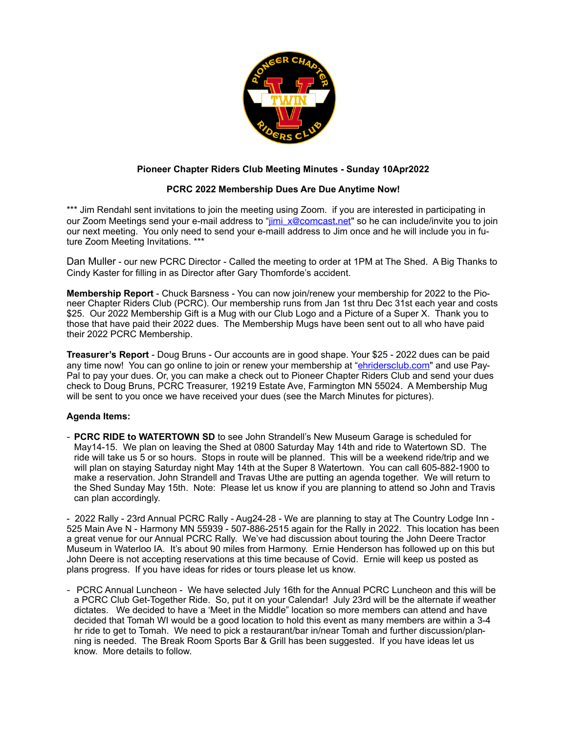

## **Pioneer Chapter Riders Club Meeting Minutes - Sunday 10Apr2022**

## **PCRC 2022 Membership Dues Are Due Anytime Now!**

\*\*\* Jim Rendahl sent invitations to join the meeting using Zoom. If you are interested in participating in our Zoom Meetings send your e-mail address to "[jimi\\_x@comcast.net](mailto:jimi_x@comcast.net)" so he can include/invite you to join our next meeting. You only need to send your e-maill address to Jim once and he will include you in future Zoom Meeting Invitations. \*\*\*

Dan Muller - our new PCRC Director - Called the meeting to order at 1PM at The Shed. A Big Thanks to Cindy Kaster for filling in as Director after Gary Thomforde's accident.

**Membership Report** - Chuck Barsness - You can now join/renew your membership for 2022 to the Pioneer Chapter Riders Club (PCRC). Our membership runs from Jan 1st thru Dec 31st each year and costs \$25. Our 2022 Membership Gift is a Mug with our Club Logo and a Picture of a Super X. Thank you to those that have paid their 2022 dues. The Membership Mugs have been sent out to all who have paid their 2022 PCRC Membership.

**Treasurer's Report** - Doug Bruns - Our accounts are in good shape. Your \$25 - 2022 dues can be paid any time now! You can go online to join or renew your membership at "[ehridersclub.com](http://ehridersclub.com)" and use Pay-Pal to pay your dues. Or, you can make a check out to Pioneer Chapter Riders Club and send your dues check to Doug Bruns, PCRC Treasurer, 19219 Estate Ave, Farmington MN 55024. A Membership Mug will be sent to you once we have received your dues (see the March Minutes for pictures).

## **Agenda Items:**

- **PCRC RIDE to WATERTOWN SD** to see John Strandell's New Museum Garage is scheduled for May14-15. We plan on leaving the Shed at 0800 Saturday May 14th and ride to Watertown SD. The ride will take us 5 or so hours. Stops in route will be planned. This will be a weekend ride/trip and we will plan on staying Saturday night May 14th at the Super 8 Watertown. You can call 605-882-1900 to make a reservation. John Strandell and Travas Uthe are putting an agenda together. We will return to the Shed Sunday May 15th. Note: Please let us know if you are planning to attend so John and Travis can plan accordingly.

- 2022 Rally - 23rd Annual PCRC Rally - Aug24-28 - We are planning to stay at The Country Lodge Inn - 525 Main Ave N - Harmony MN 55939 - 507-886-2515 again for the Rally in 2022. This location has been a great venue for our Annual PCRC Rally. We've had discussion about touring the John Deere Tractor Museum in Waterloo IA. It's about 90 miles from Harmony. Ernie Henderson has followed up on this but John Deere is not accepting reservations at this time because of Covid. Ernie will keep us posted as plans progress. If you have ideas for rides or tours please let us know.

- PCRC Annual Luncheon - We have selected July 16th for the Annual PCRC Luncheon and this will be a PCRC Club Get-Together Ride. So, put it on your Calendar! July 23rd will be the alternate if weather dictates. We decided to have a 'Meet in the Middle" location so more members can attend and have decided that Tomah WI would be a good location to hold this event as many members are within a 3-4 hr ride to get to Tomah. We need to pick a restaurant/bar in/near Tomah and further discussion/planning is needed. The Break Room Sports Bar & Grill has been suggested. If you have ideas let us know. More details to follow.